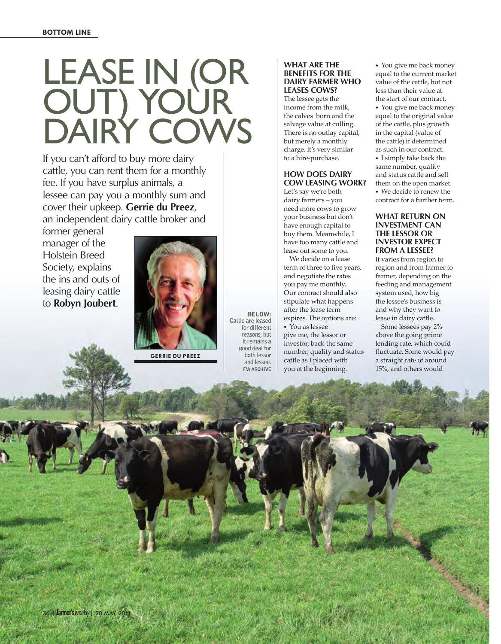# Lease in (or out) your DAIRY COWS

If you can't afford to buy more dairy cattle, you can rent them for a monthly fee. If you have surplus animals, a lessee can pay you a monthly sum and cover their upkeep. **Gerrie du Preez**, an independent dairy cattle broker and

former general manager of the Holstein Breed Society, explains the ins and outs of leasing dairy cattle to **Robyn Joubert**.



**gerrie du preez**

BELOW: **Cattle are leased for different reasons, but it remains a good deal for both lessor and lessee. FW archive**

## **What are the benefits for the dairy farmer who leases cows?**

The lessee gets the income from the milk, the calves born and the salvage value at culling. There is no outlay capital, but merely a monthly charge. It's very similar to a hire-purchase.

## **How does dairy cow leasing work?**

Let's say we're both dairy farmers – you need more cows to grow your business but don't have enough capital to buy them. Meanwhile, I have too many cattle and lease out some to you.

We decide on a lease term of three to five years, and negotiate the rates you pay me monthly. Our contract should also stipulate what happens after the lease term expires. The options are: *•*  You as lessee

give me, the lessor or investor, back the same number, quality and status cattle as I placed with you at the beginning.

*•*  You give me back money equal to the current market value of the cattle, but not less than their value at the start of our contract. *•*  You give me back money equal to the original value of the cattle, plus growth in the capital (value of the cattle) if determined as such in our contract. *•*  I simply take back the same number, quality and status cattle and sell them on the open market. *•*  We decide to renew the contract for a further term.

## **What return on investment can the lessor or investor expect from a lessee?**

It varies from region to region and from farmer to farmer, depending on the feeding and management system used, how big the lessee's business is and why they want to lease in dairy cattle.

Some lessees pay 2% above the going prime lending rate, which could fluctuate. Some would pay a straight rate of around 15%, and others would